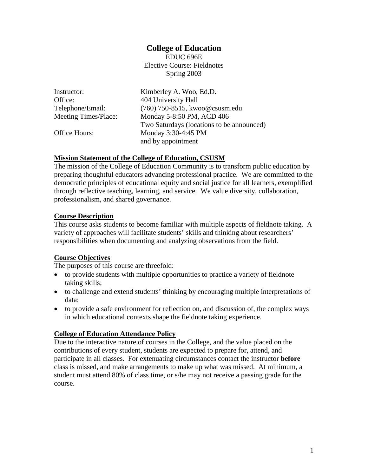### **College of Education**

EDUC 696E Elective Course: Fieldnotes Spring 2003

| Instructor:          | Kimberley A. Woo, Ed.D.                   |
|----------------------|-------------------------------------------|
| Office:              | 404 University Hall                       |
| Telephone/Email:     | (760) 750-8515, kwoo@csusm.edu            |
| Meeting Times/Place: | Monday 5-8:50 PM, ACD 406                 |
|                      | Two Saturdays (locations to be announced) |
| Office Hours:        | Monday 3:30-4:45 PM                       |
|                      | and by appointment                        |

#### **Mission Statement of the College of Education, CSUSM**

The mission of the College of Education Community is to transform public education by preparing thoughtful educators advancing professional practice. We are committed to the democratic principles of educational equity and social justice for all learners, exemplified through reflective teaching, learning, and service. We value diversity, collaboration, professionalism, and shared governance.

#### **Course Description**

This course asks students to become familiar with multiple aspects of fieldnote taking. A variety of approaches will facilitate students' skills and thinking about researchers' responsibilities when documenting and analyzing observations from the field.

#### **Course Objectives**

The purposes of this course are threefold:

- to provide students with multiple opportunities to practice a variety of fieldnote taking skills;
- to challenge and extend students' thinking by encouraging multiple interpretations of data;
- to provide a safe environment for reflection on, and discussion of, the complex ways in which educational contexts shape the fieldnote taking experience.

#### **College of Education Attendance Policy**

Due to the interactive nature of courses in the College, and the value placed on the contributions of every student, students are expected to prepare for, attend, and participate in all classes. For extenuating circumstances contact the instructor **before** class is missed, and make arrangements to make up what was missed. At minimum, a student must attend 80% of class time, or s/he may not receive a passing grade for the course.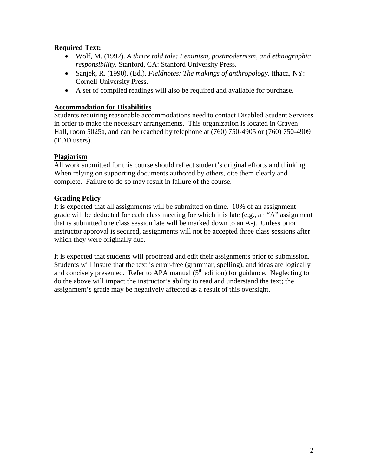## **Required Text:**

- Wolf, M. (1992). *A thrice told tale: Feminism, postmodernism, and ethnographic responsibility.* Stanford, CA: Stanford University Press.
- Sanjek, R. (1990). (Ed.). *Fieldnotes: The makings of anthropology.* Ithaca, NY: Cornell University Press.
- A set of compiled readings will also be required and available for purchase.

## **Accommodation for Disabilities**

Students requiring reasonable accommodations need to contact Disabled Student Services in order to make the necessary arrangements. This organization is located in Craven Hall, room 5025a, and can be reached by telephone at (760) 750-4905 or (760) 750-4909 (TDD users).

## **Plagiarism**

All work submitted for this course should reflect student's original efforts and thinking. When relying on supporting documents authored by others, cite them clearly and complete. Failure to do so may result in failure of the course.

## **Grading Policy**

It is expected that all assignments will be submitted on time. 10% of an assignment grade will be deducted for each class meeting for which it is late (e.g., an "A" assignment that is submitted one class session late will be marked down to an A-). Unless prior instructor approval is secured, assignments will not be accepted three class sessions after which they were originally due.

It is expected that students will proofread and edit their assignments prior to submission. Students will insure that the text is error-free (grammar, spelling), and ideas are logically and concisely presented. Refer to APA manual  $(5<sup>th</sup>$  edition) for guidance. Neglecting to do the above will impact the instructor's ability to read and understand the text; the assignment's grade may be negatively affected as a result of this oversight.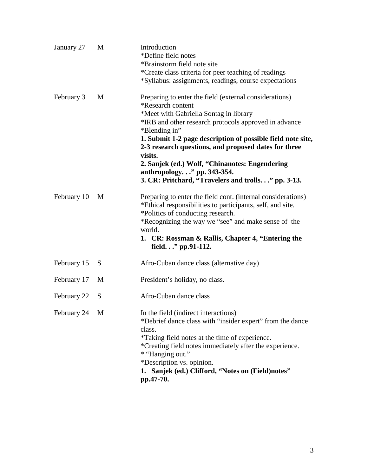| January 27  | M | Introduction<br>*Define field notes<br>*Brainstorm field note site<br>*Create class criteria for peer teaching of readings<br>*Syllabus: assignments, readings, course expectations                                                                                                                                                                                                                                                                                      |
|-------------|---|--------------------------------------------------------------------------------------------------------------------------------------------------------------------------------------------------------------------------------------------------------------------------------------------------------------------------------------------------------------------------------------------------------------------------------------------------------------------------|
| February 3  | M | Preparing to enter the field (external considerations)<br>*Research content<br>*Meet with Gabriella Sontag in library<br>*IRB and other research protocols approved in advance<br>*Blending in"<br>1. Submit 1-2 page description of possible field note site,<br>2-3 research questions, and proposed dates for three<br>visits.<br>2. Sanjek (ed.) Wolf, "Chinanotes: Engendering<br>anthropology." pp. 343-354.<br>3. CR: Pritchard, "Travelers and trolls" pp. 3-13. |
| February 10 | M | Preparing to enter the field cont. (internal considerations)<br>*Ethical responsibilities to participants, self, and site.<br>*Politics of conducting research.<br>*Recognizing the way we "see" and make sense of the<br>world.<br>1. CR: Rossman & Rallis, Chapter 4, "Entering the<br>field." pp.91-112.                                                                                                                                                              |
| February 15 | S | Afro-Cuban dance class (alternative day)                                                                                                                                                                                                                                                                                                                                                                                                                                 |
| February 17 | M | President's holiday, no class.                                                                                                                                                                                                                                                                                                                                                                                                                                           |
| February 22 | S | Afro-Cuban dance class                                                                                                                                                                                                                                                                                                                                                                                                                                                   |
| February 24 | M | In the field (indirect interactions)<br>*Debrief dance class with "insider expert" from the dance<br>class.<br>*Taking field notes at the time of experience.<br>*Creating field notes immediately after the experience.<br>* "Hanging out."<br>*Description vs. opinion.<br>1. Sanjek (ed.) Clifford, "Notes on (Field)notes"<br>pp.47-70.                                                                                                                              |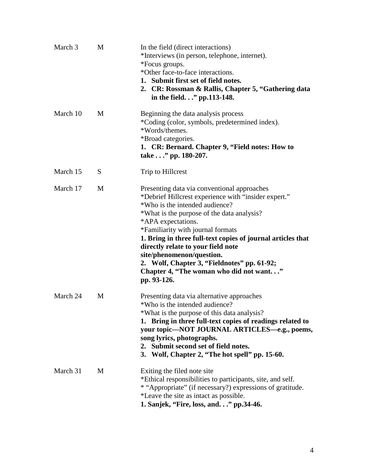| March 3  | M | In the field (direct interactions)<br>*Interviews (in person, telephone, internet).<br>*Focus groups.<br>*Other face-to-face interactions.<br>1. Submit first set of field notes.<br>2. CR: Rossman & Rallis, Chapter 5, "Gathering data<br>in the field." pp.113-148.                                                                                                                                                                                                                    |
|----------|---|-------------------------------------------------------------------------------------------------------------------------------------------------------------------------------------------------------------------------------------------------------------------------------------------------------------------------------------------------------------------------------------------------------------------------------------------------------------------------------------------|
| March 10 | M | Beginning the data analysis process<br>*Coding (color, symbols, predetermined index).<br>*Words/themes.<br>*Broad categories.<br>1. CR: Bernard. Chapter 9, "Field notes: How to<br>take" pp. 180-207.                                                                                                                                                                                                                                                                                    |
| March 15 | S | Trip to Hillcrest                                                                                                                                                                                                                                                                                                                                                                                                                                                                         |
| March 17 | M | Presenting data via conventional approaches<br>*Debrief Hillcrest experience with "insider expert."<br>*Who is the intended audience?<br>*What is the purpose of the data analysis?<br>*APA expectations.<br>*Familiarity with journal formats<br>1. Bring in three full-text copies of journal articles that<br>directly relate to your field note<br>site/phenomenon/question.<br>2. Wolf, Chapter 3, "Fieldnotes" pp. 61-92;<br>Chapter 4, "The woman who did not want"<br>pp. 93-126. |
| March 24 | M | Presenting data via alternative approaches<br>*Who is the intended audience?<br>*What is the purpose of this data analysis?<br>1. Bring in three full-text copies of readings related to<br>your topic—NOT JOURNAL ARTICLES—e.g., poems,<br>song lyrics, photographs.<br>2. Submit second set of field notes.<br>3. Wolf, Chapter 2, "The hot spell" pp. 15-60.                                                                                                                           |
| March 31 | M | Exiting the filed note site<br>*Ethical responsibilities to participants, site, and self.<br>* "Appropriate" (if necessary?) expressions of gratitude.<br>*Leave the site as intact as possible.<br>1. Sanjek, "Fire, loss, and." pp.34-46.                                                                                                                                                                                                                                               |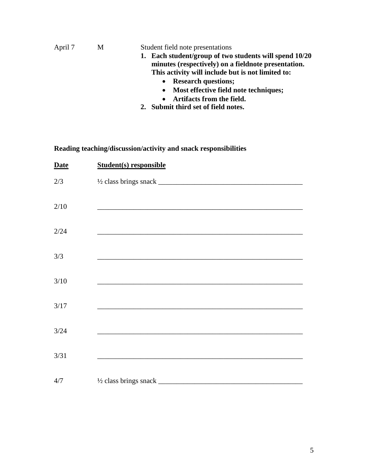| April 7<br>M | Student field note presentations                     |                                                        |
|--------------|------------------------------------------------------|--------------------------------------------------------|
|              |                                                      | 1. Each student/group of two students will spend 10/20 |
|              | minutes (respectively) on a field note presentation. |                                                        |
|              |                                                      | This activity will include but is not limited to:      |
|              |                                                      | • Research questions;                                  |
|              | • Most effective field note techniques;              |                                                        |
|              | Artifacts from the field.<br>$\bullet$               |                                                        |
|              | 2. Submit third set of field notes.                  |                                                        |

# **Reading teaching/discussion/activity and snack responsibilities**

| <b>Date</b> | <b>Student(s)</b> responsible                                                                                                                                                                                                 |
|-------------|-------------------------------------------------------------------------------------------------------------------------------------------------------------------------------------------------------------------------------|
| $2/3$       |                                                                                                                                                                                                                               |
| 2/10        |                                                                                                                                                                                                                               |
| 2/24        | <u> 1989 - Johann Stein, mars an deutscher Stein und der Stein und der Stein und der Stein und der Stein und der</u>                                                                                                          |
| 3/3         | the control of the control of the control of the control of the control of the control of the control of the control of the control of the control of the control of the control of the control of the control of the control |
| 3/10        | <u> 1989 - Johann Stoff, amerikansk politiker (d. 1989)</u>                                                                                                                                                                   |
| $3/17$      |                                                                                                                                                                                                                               |
| $3/24$      |                                                                                                                                                                                                                               |
| 3/31        |                                                                                                                                                                                                                               |
| 4/7         |                                                                                                                                                                                                                               |